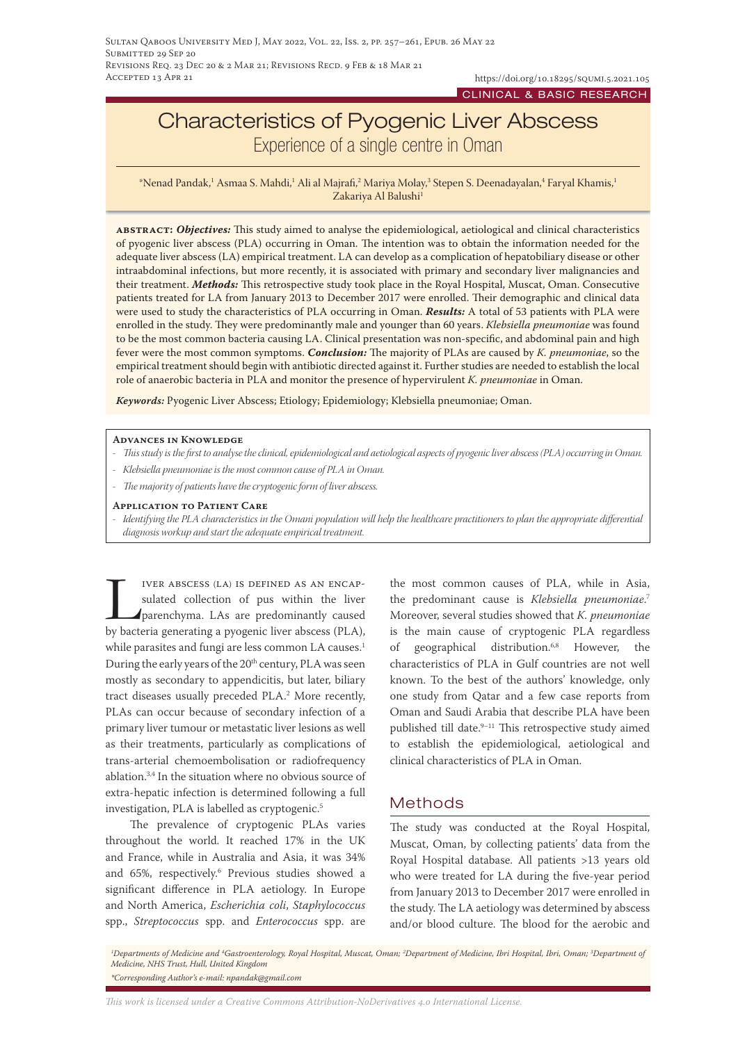# Characteristics of Pyogenic Liver Abscess Experience of a single centre in Oman

 $^*$ Nenad Pandak, $^1$  Asmaa S. Mahdi, $^1$  Ali al Majrafi, $^2$  Mariya Molay, $^3$  Stepen S. Deenadayalan, $^4$  Faryal Khamis, $^1$ Zakariya Al Balushi<sup>1</sup>

**abstract:** *Objectives:* This study aimed to analyse the epidemiological, aetiological and clinical characteristics of pyogenic liver abscess (PLA) occurring in Oman. The intention was to obtain the information needed for the adequate liver abscess (LA) empirical treatment. LA can develop as a complication of hepatobiliary disease or other intraabdominal infections, but more recently, it is associated with primary and secondary liver malignancies and their treatment. *Methods:* This retrospective study took place in the Royal Hospital, Muscat, Oman. Consecutive patients treated for LA from January 2013 to December 2017 were enrolled. Their demographic and clinical data were used to study the characteristics of PLA occurring in Oman. *Results:* A total of 53 patients with PLA were enrolled in the study. They were predominantly male and younger than 60 years. *Klebsiella pneumoniae* was found to be the most common bacteria causing LA. Clinical presentation was non-specific, and abdominal pain and high fever were the most common symptoms. *Conclusion:* The majority of PLAs are caused by *K. pneumoniae*, so the empirical treatment should begin with antibiotic directed against it. Further studies are needed to establish the local role of anaerobic bacteria in PLA and monitor the presence of hypervirulent *K. pneumoniae* in Oman.

*Keywords:* Pyogenic Liver Abscess; Etiology; Epidemiology; Klebsiella pneumoniae; Oman.

#### **Advances in Knowledge**

*- This study is the first to analyse the clinical, epidemiological and aetiological aspects of pyogenic liver abscess (PLA) occurring in Oman.*

- *- Klebsiella pneumoniae is the most common cause of PLA in Oman.*
- *- The majority of patients have the cryptogenic form of liver abscess.*
- **Application to Patient Care**

*- Identifying the PLA characteristics in the Omani population will help the healthcare practitioners to plan the appropriate differential diagnosis workup and start the adequate empirical treatment.*

IVER ABSCESS (LA) IS DEFINED AS AN ENCAP-<br>sulated collection of pus within the liver<br>parenchyma. LAs are predominantly caused<br>by bacteria generating a pyogenic liver abscess (PLA). sulated collection of pus within the liver parenchyma. LAs are predominantly caused by bacteria generating a pyogenic liver abscess (PLA), while parasites and fungi are less common LA causes.<sup>1</sup> During the early years of the 20<sup>th</sup> century, PLA was seen mostly as secondary to appendicitis, but later, biliary tract diseases usually preceded PLA.2 More recently, PLAs can occur because of secondary infection of a primary liver tumour or metastatic liver lesions as well as their treatments, particularly as complications of trans-arterial chemoembolisation or radiofrequency ablation.3,4 In the situation where no obvious source of extra-hepatic infection is determined following a full investigation, PLA is labelled as cryptogenic.5

The prevalence of cryptogenic PLAs varies throughout the world. It reached 17% in the UK and France, while in Australia and Asia, it was 34% and 65%, respectively.6 Previous studies showed a significant difference in PLA aetiology. In Europe and North America, *Escherichia coli*, *Staphylococcus*  spp., *Streptococcus* spp. and *Enterococcus* spp. are

the most common causes of PLA, while in Asia, the predominant cause is *Klebsiella pneumoniae*. 7 Moreover, several studies showed that *K. pneumoniae* is the main cause of cryptogenic PLA regardless of geographical distribution.6,8 However, the characteristics of PLA in Gulf countries are not well known. To the best of the authors' knowledge, only one study from Qatar and a few case reports from Oman and Saudi Arabia that describe PLA have been published till date.9–11 This retrospective study aimed to establish the epidemiological, aetiological and clinical characteristics of PLA in Oman.

### Methods

The study was conducted at the Royal Hospital, Muscat, Oman, by collecting patients' data from the Royal Hospital database. All patients >13 years old who were treated for LA during the five-year period from January 2013 to December 2017 were enrolled in the study. The LA aetiology was determined by abscess and/or blood culture. The blood for the aerobic and

<sup>1</sup>Departments of Medicine and <sup>4</sup>Gastroenterology, Royal Hospital, Muscat, Oman; <sup>2</sup>Department of Medicine, Ibri Hospital, Ibri, Oman; <sup>3</sup>Department of *Medicine, NHS Trust, Hull, United Kingdom \*Corresponding Author's e-mail: npandak@gmail.com*

*This work is licensed under a [Creative Commons Attribution-NoDerivatives 4.0 International License.](https://creativecommons.org/licenses/by-nd/4.0/)*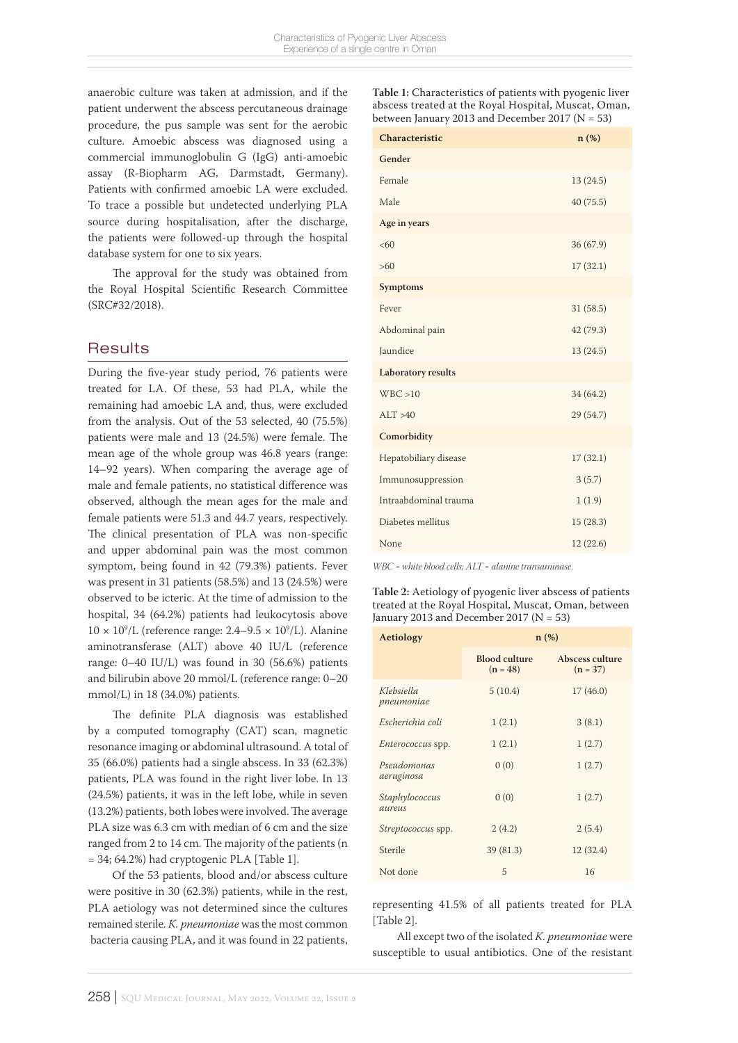anaerobic culture was taken at admission, and if the patient underwent the abscess percutaneous drainage procedure, the pus sample was sent for the aerobic culture. Amoebic abscess was diagnosed using a commercial immunoglobulin G (IgG) anti-amoebic assay (R-Biopharm AG, Darmstadt, Germany). Patients with confirmed amoebic LA were excluded. To trace a possible but undetected underlying PLA source during hospitalisation, after the discharge, the patients were followed-up through the hospital database system for one to six years.

The approval for the study was obtained from the Royal Hospital Scientific Research Committee (SRC#32/2018).

### **Results**

During the five-year study period, 76 patients were treated for LA. Of these, 53 had PLA, while the remaining had amoebic LA and, thus, were excluded from the analysis. Out of the 53 selected, 40 (75.5%) patients were male and 13 (24.5%) were female. The mean age of the whole group was 46.8 years (range: 14–92 years). When comparing the average age of male and female patients, no statistical difference was observed, although the mean ages for the male and female patients were 51.3 and 44.7 years, respectively. The clinical presentation of PLA was non-specific and upper abdominal pain was the most common symptom, being found in 42 (79.3%) patients. Fever was present in 31 patients (58.5%) and 13 (24.5%) were observed to be icteric. At the time of admission to the hospital, 34 (64.2%) patients had leukocytosis above  $10 \times 10^9$ /L (reference range:  $2.4-9.5 \times 10^9$ /L). Alanine aminotransferase (ALT) above 40 IU/L (reference range: 0–40 IU/L) was found in 30 (56.6%) patients and bilirubin above 20 mmol/L (reference range: 0–20 mmol/L) in 18 (34.0%) patients.

The definite PLA diagnosis was established by a computed tomography (CAT) scan, magnetic resonance imaging or abdominal ultrasound. A total of 35 (66.0%) patients had a single abscess. In 33 (62.3%) patients, PLA was found in the right liver lobe. In 13 (24.5%) patients, it was in the left lobe, while in seven (13.2%) patients, both lobes were involved. The average PLA size was 6.3 cm with median of 6 cm and the size ranged from 2 to 14 cm. The majority of the patients (n = 34; 64.2%) had cryptogenic PLA [Table 1].

Of the 53 patients, blood and/or abscess culture were positive in 30 (62.3%) patients, while in the rest, PLA aetiology was not determined since the cultures remained sterile. *K. pneumoniae* was the most common bacteria causing PLA, and it was found in 22 patients,

**Table 1:** Characteristics of patients with pyogenic liver abscess treated at the Royal Hospital, Muscat, Oman, between January 2013 and December 2017 ( $N = 53$ )

| Characteristic        | n(%)      |
|-----------------------|-----------|
| Gender                |           |
| Female                | 13(24.5)  |
| Male                  | 40(75.5)  |
| Age in years          |           |
| <60                   | 36 (67.9) |
| >60                   | 17(32.1)  |
| <b>Symptoms</b>       |           |
| Fever                 | 31(58.5)  |
| Abdominal pain        | 42 (79.3) |
| Jaundice              | 13(24.5)  |
| Laboratory results    |           |
| WBC > 10              | 34 (64.2) |
| ALT > 40              | 29 (54.7) |
| Comorbidity           |           |
| Hepatobiliary disease | 17(32.1)  |
| Immunosuppression     | 3(5.7)    |
| Intraabdominal trauma | 1(1.9)    |
| Diabetes mellitus     | 15(28.3)  |
| None                  | 12(22.6)  |

*WBC = white blood cells; ALT = alanine transaminase.*

**Table 2:** Aetiology of pyogenic liver abscess of patients treated at the Royal Hospital, Muscat, Oman, between January 2013 and December 2017 ( $N = 53$ )

| Aetiology                 | $n$ (%)                            |                               |
|---------------------------|------------------------------------|-------------------------------|
|                           | <b>Blood culture</b><br>$(n = 48)$ | Abscess culture<br>$(n = 37)$ |
| Klebsiella<br>pneumoniae  | 5(10.4)                            | 17(46.0)                      |
| Escherichia coli          | 1(2.1)                             | 3(8.1)                        |
| <i>Enterococcus</i> spp.  | 1(2.1)                             | 1(2.7)                        |
| Pseudomonas<br>aeruginosa | 0(0)                               | 1(2.7)                        |
| Staphylococcus<br>aureus  | 0(0)                               | 1(2.7)                        |
| <i>Streptococcus</i> spp. | 2(4.2)                             | 2(5.4)                        |
| Sterile                   | 39(81.3)                           | 12(32.4)                      |
| Not done                  | 5                                  | 16                            |

representing 41.5% of all patients treated for PLA [Table 2].

All except two of the isolated *K. pneumoniae* were susceptible to usual antibiotics. One of the resistant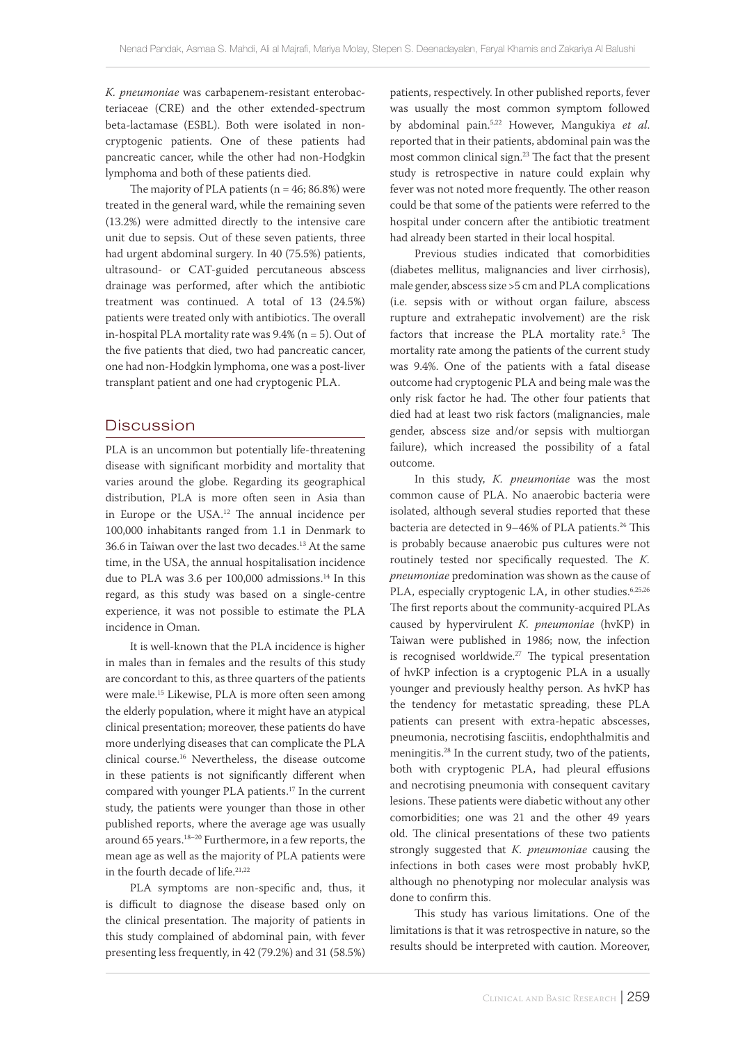*K. pneumoniae* was carbapenem-resistant enterobacteriaceae (CRE) and the other extended-spectrum beta-lactamase (ESBL). Both were isolated in noncryptogenic patients. One of these patients had pancreatic cancer, while the other had non-Hodgkin lymphoma and both of these patients died.

The majority of PLA patients ( $n = 46$ ; 86.8%) were treated in the general ward, while the remaining seven (13.2%) were admitted directly to the intensive care unit due to sepsis. Out of these seven patients, three had urgent abdominal surgery. In 40 (75.5%) patients, ultrasound- or CAT-guided percutaneous abscess drainage was performed, after which the antibiotic treatment was continued. A total of 13 (24.5%) patients were treated only with antibiotics. The overall in-hospital PLA mortality rate was  $9.4\%$  (n = 5). Out of the five patients that died, two had pancreatic cancer, one had non-Hodgkin lymphoma, one was a post-liver transplant patient and one had cryptogenic PLA.

### **Discussion**

PLA is an uncommon but potentially life-threatening disease with significant morbidity and mortality that varies around the globe. Regarding its geographical distribution, PLA is more often seen in Asia than in Europe or the USA.<sup>12</sup> The annual incidence per 100,000 inhabitants ranged from 1.1 in Denmark to 36.6 in Taiwan over the last two decades.13 At the same time, in the USA, the annual hospitalisation incidence due to PLA was 3.6 per 100,000 admissions.<sup>14</sup> In this regard, as this study was based on a single-centre experience, it was not possible to estimate the PLA incidence in Oman.

It is well-known that the PLA incidence is higher in males than in females and the results of this study are concordant to this, as three quarters of the patients were male.<sup>15</sup> Likewise, PLA is more often seen among the elderly population, where it might have an atypical clinical presentation; moreover, these patients do have more underlying diseases that can complicate the PLA clinical course.16 Nevertheless, the disease outcome in these patients is not significantly different when compared with younger PLA patients.17 In the current study, the patients were younger than those in other published reports, where the average age was usually around 65 years.18–20 Furthermore, in a few reports, the mean age as well as the majority of PLA patients were in the fourth decade of life.<sup>21,22</sup>

PLA symptoms are non-specific and, thus, it is difficult to diagnose the disease based only on the clinical presentation. The majority of patients in this study complained of abdominal pain, with fever presenting less frequently, in 42 (79.2%) and 31 (58.5%) patients, respectively. In other published reports, fever was usually the most common symptom followed by abdominal pain.5,22 However, Mangukiya *et al*. reported that in their patients, abdominal pain was the most common clinical sign.23 The fact that the present study is retrospective in nature could explain why fever was not noted more frequently. The other reason could be that some of the patients were referred to the hospital under concern after the antibiotic treatment had already been started in their local hospital.

Previous studies indicated that comorbidities (diabetes mellitus, malignancies and liver cirrhosis), male gender, abscess size >5 cm and PLA complications (i.e. sepsis with or without organ failure, abscess rupture and extrahepatic involvement) are the risk factors that increase the PLA mortality rate.<sup>5</sup> The mortality rate among the patients of the current study was 9.4%. One of the patients with a fatal disease outcome had cryptogenic PLA and being male was the only risk factor he had. The other four patients that died had at least two risk factors (malignancies, male gender, abscess size and/or sepsis with multiorgan failure), which increased the possibility of a fatal outcome.

In this study, *K. pneumoniae* was the most common cause of PLA. No anaerobic bacteria were isolated, although several studies reported that these bacteria are detected in 9-46% of PLA patients.<sup>24</sup> This is probably because anaerobic pus cultures were not routinely tested nor specifically requested. The *K. pneumoniae* predomination was shown as the cause of PLA, especially cryptogenic LA, in other studies.<sup>6,25,26</sup> The first reports about the community-acquired PLAs caused by hypervirulent *K. pneumoniae* (hvKP) in Taiwan were published in 1986; now, the infection is recognised worldwide. $27$  The typical presentation of hvKP infection is a cryptogenic PLA in a usually younger and previously healthy person. As hvKP has the tendency for metastatic spreading, these PLA patients can present with extra-hepatic abscesses, pneumonia, necrotising fasciitis, endophthalmitis and meningitis.28 In the current study, two of the patients, both with cryptogenic PLA, had pleural effusions and necrotising pneumonia with consequent cavitary lesions. These patients were diabetic without any other comorbidities; one was 21 and the other 49 years old. The clinical presentations of these two patients strongly suggested that *K. pneumoniae* causing the infections in both cases were most probably hvKP, although no phenotyping nor molecular analysis was done to confirm this.

This study has various limitations. One of the limitations is that it was retrospective in nature, so the results should be interpreted with caution. Moreover,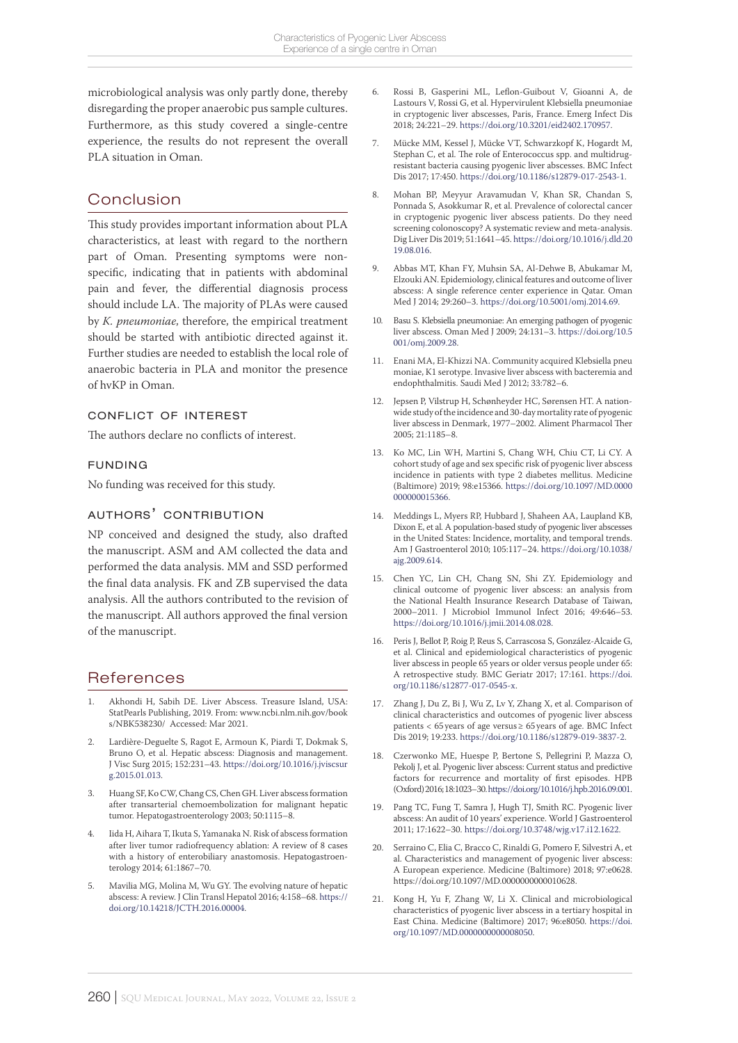microbiological analysis was only partly done, thereby disregarding the proper anaerobic pus sample cultures. Furthermore, as this study covered a single-centre experience, the results do not represent the overall PLA situation in Oman.

# Conclusion

This study provides important information about PLA characteristics, at least with regard to the northern part of Oman. Presenting symptoms were nonspecific, indicating that in patients with abdominal pain and fever, the differential diagnosis process should include LA. The majority of PLAs were caused by *K. pneumoniae*, therefore, the empirical treatment should be started with antibiotic directed against it. Further studies are needed to establish the local role of anaerobic bacteria in PLA and monitor the presence of hvKP in Oman.

### conflict of interest

The authors declare no conflicts of interest.

### funding

No funding was received for this study.

### authors' contribution

NP conceived and designed the study, also drafted the manuscript. ASM and AM collected the data and performed the data analysis. MM and SSD performed the final data analysis. FK and ZB supervised the data analysis. All the authors contributed to the revision of the manuscript. All authors approved the final version of the manuscript.

## References

- 1. Akhondi H, Sabih DE. Liver Abscess. Treasure Island, USA: StatPearls Publishing, 2019. From: www.ncbi.nlm.nih.gov/book s/NBK538230/ Accessed: Mar 2021.
- 2. Lardière-Deguelte S, Ragot E, Armoun K, Piardi T, Dokmak S, Bruno O, et al. Hepatic abscess: Diagnosis and management. J Visc Surg 2015; 152:231–43. [https://doi.org/10.1016/j.jviscsur](https://doi.org/10.1016/j.jviscsurg.2015.01.013) [g.2015.01.013.](https://doi.org/10.1016/j.jviscsurg.2015.01.013)
- 3. Huang SF, Ko CW, Chang CS, Chen GH. Liver abscess formation after transarterial chemoembolization for malignant hepatic tumor. Hepatogastroenterology 2003; 50:1115–8.
- 4. Iida H, Aihara T, Ikuta S, Yamanaka N. Risk of abscess formation after liver tumor radiofrequency ablation: A review of 8 cases with a history of enterobiliary anastomosis. Hepatogastroenterology 2014; 61:1867–70.
- 5. Mavilia MG, Molina M, Wu GY. The evolving nature of hepatic abscess: A review. J Clin Transl Hepatol 2016; 4:158–68. [https://](https://doi.org/10.14218/JCTH.2016.00004) [doi.org/10.14218/JCTH.2016.00004](https://doi.org/10.14218/JCTH.2016.00004).
- 6. Rossi B, Gasperini ML, Leflon-Guibout V, Gioanni A, de Lastours V, Rossi G, et al. Hypervirulent Klebsiella pneumoniae in cryptogenic liver abscesses, Paris, France. Emerg Infect Dis 2018; 24:221–29. [https://doi.org/10.3201/eid2402.170957.](https://doi.org/10.3201/eid2402.170957)
- 7. Mücke MM, Kessel J, Mücke VT, Schwarzkopf K, Hogardt M, Stephan C, et al. The role of Enterococcus spp. and multidrugresistant bacteria causing pyogenic liver abscesses. BMC Infect Dis 2017; 17:450. [https://doi.org/10.1186/s12879-017-2543-1.](https://doi.org/10.1186/s12879-017-2543-1)
- 8. Mohan BP, Meyyur Aravamudan V, Khan SR, Chandan S, Ponnada S, Asokkumar R, et al. Prevalence of colorectal cancer in cryptogenic pyogenic liver abscess patients. Do they need screening colonoscopy? A systematic review and meta-analysis. Dig Liver Dis 2019; 51:1641–45. [https://doi.org/10.1016/j.dld.20](https://doi.org/10.1016/j.dld.2019.08.016) [19.08.016.](https://doi.org/10.1016/j.dld.2019.08.016)
- 9. Abbas MT, Khan FY, Muhsin SA, Al-Dehwe B, Abukamar M, Elzouki AN. Epidemiology, clinical features and outcome of liver abscess: A single reference center experience in Qatar. Oman Med J 2014; 29:260–3. [https://doi.org/10.5001/omj.2014.69.](https://doi.org/10.5001/omj.2014.69)
- 10. Basu S. Klebsiella pneumoniae: An emerging pathogen of pyogenic liver abscess. Oman Med J 2009; 24:131–3. [https://doi.org/10.5](https://doi.org/10.5 001/omj.2009.28) [001/omj.2009.28.](https://doi.org/10.5 001/omj.2009.28)
- 11. Enani MA, El-Khizzi NA. Community acquired Klebsiella pneu moniae, K1 serotype. Invasive liver abscess with bacteremia and endophthalmitis. Saudi Med J 2012; 33:782–6.
- 12. Jepsen P, Vilstrup H, Schønheyder HC, Sørensen HT. A nationwide study of the incidence and 30-day mortality rate of pyogenic liver abscess in Denmark, 1977–2002. Aliment Pharmacol Ther 2005; 21:1185–8.
- 13. Ko MC, Lin WH, Martini S, Chang WH, Chiu CT, Li CY. A cohort study of age and sex specific risk of pyogenic liver abscess incidence in patients with type 2 diabetes mellitus. Medicine (Baltimore) 2019; 98:e15366. [https://doi.org/10.1097/MD.0000](https://doi.org/10.1097/MD.0000000000015366) [000000015366.](https://doi.org/10.1097/MD.0000000000015366)
- 14. Meddings L, Myers RP, Hubbard J, Shaheen AA, Laupland KB, Dixon E, et al. A population-based study of pyogenic liver abscesses in the United States: Incidence, mortality, and temporal trends. Am J Gastroenterol 2010; 105:117–24. [https://doi.org/10.1038/](https://doi.org/10.1038/ajg.2009.614) [ajg.2009.614](https://doi.org/10.1038/ajg.2009.614).
- 15. Chen YC, Lin CH, Chang SN, Shi ZY. Epidemiology and clinical outcome of pyogenic liver abscess: an analysis from the National Health Insurance Research Database of Taiwan, 2000–2011. J Microbiol Immunol Infect 2016; 49:646–53. [https://doi.org/10.1016/j.jmii.2014.08.028.](https://doi.org/10.1016/j.jmii.2014.08.028)
- 16. Peris J, Bellot P, Roig P, Reus S, Carrascosa S, González-Alcaide G, et al. Clinical and epidemiological characteristics of pyogenic liver abscess in people 65 years or older versus people under 65: A retrospective study. BMC Geriatr 2017; 17:161. [https://doi.](https://doi.org/10.1186/s12877-017-0545-x) [org/10.1186/s12877-017-0545-x.](https://doi.org/10.1186/s12877-017-0545-x)
- 17. Zhang J, Du Z, Bi J, Wu Z, Lv Y, Zhang X, et al. Comparison of clinical characteristics and outcomes of pyogenic liver abscess patients < 65 years of age versus≥ 65 years of age. BMC Infect Dis 2019; 19:233. [https://doi.org/10.1186/s12879-019-3837-2.](https://doi.org/10.1186/s12879-019-3837-2)
- 18. Czerwonko ME, Huespe P, Bertone S, Pellegrini P, Mazza O, Pekolj J, et al. Pyogenic liver abscess: Current status and predictive factors for recurrence and mortality of first episodes. HPB (Oxford) 2016; 18:1023–30. [https://doi.org/10.1016/j.hpb.2016.09.001.](https://doi.org/10.1016/j.hpb.2016.09.001)
- 19. Pang TC, Fung T, Samra J, Hugh TJ, Smith RC. Pyogenic liver abscess: An audit of 10 years' experience. World J Gastroenterol 2011; 17:1622–30. [https://doi.org/10.3748/wjg.v17.i12.1622](https://doi.org/10.3748/wjg.v17.i12. 1622).
- 20. Serraino C, Elia C, Bracco C, Rinaldi G, Pomero F, Silvestri A, et al. Characteristics and management of pyogenic liver abscess: A European experience. Medicine (Baltimore) 2018; 97:e0628. https://doi.org/10.1097/MD.0000000000010628.
- 21. Kong H, Yu F, Zhang W, Li X. Clinical and microbiological characteristics of pyogenic liver abscess in a tertiary hospital in East China. Medicine (Baltimore) 2017; 96:e8050. [https://doi.](https://doi.org/10.1097/MD.0000000000008050) [org/10.1097/MD.0000000000008050.](https://doi.org/10.1097/MD.0000000000008050)